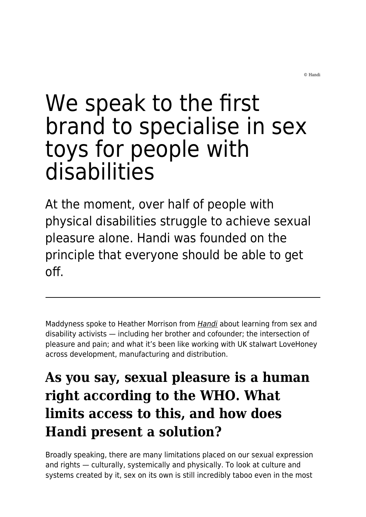© Handi

# We speak to the first brand to specialise in sex toys for people with disabilities

At the moment, over half of people with physical disabilities struggle to achieve sexual pleasure alone. Handi was founded on the principle that everyone should be able to get off.

Maddyness spoke to Heather Morrison from [Handi](https://thatshandi.co/) about learning from sex and disability activists — including her brother and cofounder; the intersection of pleasure and pain; and what it's been like working with UK stalwart LoveHoney across development, manufacturing and distribution.

# **As you say, sexual pleasure is a human right according to the WHO. What limits access to this, and how does Handi present a solution?**

Broadly speaking, there are many limitations placed on our sexual expression and rights — culturally, systemically and physically. To look at culture and systems created by it, sex on its own is still incredibly taboo even in the most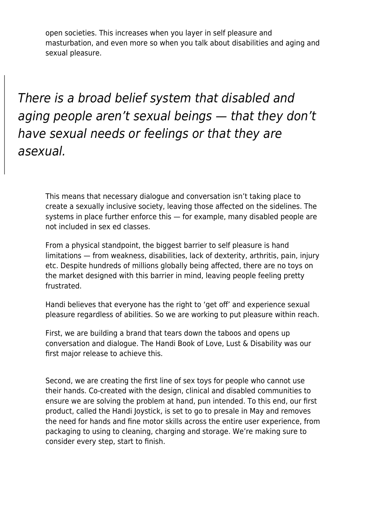open societies. This increases when you layer in self pleasure and masturbation, and even more so when you talk about disabilities and aging and sexual pleasure.

There is a broad belief system that disabled and aging people aren't sexual beings — that they don't have sexual needs or feelings or that they are asexual.

This means that necessary dialogue and conversation isn't taking place to create a sexually inclusive society, leaving those affected on the sidelines. The systems in place further enforce this — for example, many disabled people are not included in sex ed classes.

From a physical standpoint, the biggest barrier to self pleasure is hand limitations — from weakness, disabilities, lack of dexterity, arthritis, pain, injury etc. Despite hundreds of millions globally being affected, there are no toys on the market designed with this barrier in mind, leaving people feeling pretty frustrated.

Handi believes that everyone has the right to 'get off' and experience sexual pleasure regardless of abilities. So we are working to put pleasure within reach.

First, we are building a brand that tears down the taboos and opens up conversation and dialogue. The Handi Book of Love, Lust & Disability was our first major release to achieve this.

Second, we are creating the first line of sex toys for people who cannot use their hands. Co-created with the design, clinical and disabled communities to ensure we are solving the problem at hand, pun intended. To this end, our first product, called the Handi Joystick, is set to go to presale in May and removes the need for hands and fine motor skills across the entire user experience, from packaging to using to cleaning, charging and storage. We're making sure to consider every step, start to finish.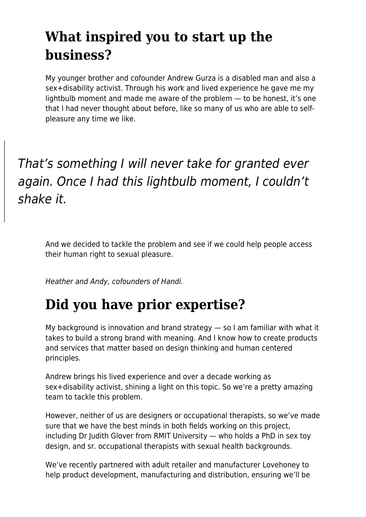# **What inspired you to start up the business?**

My younger brother and cofounder Andrew Gurza is a disabled man and also a sex+disability activist. Through his work and lived experience he gave me my lightbulb moment and made me aware of the problem — to be honest, it's one that I had never thought about before, like so many of us who are able to selfpleasure any time we like.

That's something I will never take for granted ever again. Once I had this lightbulb moment, I couldn't shake it.

And we decided to tackle the problem and see if we could help people access their human right to sexual pleasure.

Heather and Andy, cofounders of Handi.

#### **Did you have prior expertise?**

My background is innovation and brand strategy — so I am familiar with what it takes to build a strong brand with meaning. And I know how to create products and services that matter based on design thinking and human centered principles.

Andrew brings his lived experience and over a decade working as sex+disability activist, shining a light on this topic. So we're a pretty amazing team to tackle this problem.

However, neither of us are designers or occupational therapists, so we've made sure that we have the best minds in both fields working on this project, including Dr Judith Glover from RMIT University — who holds a PhD in sex toy design, and sr. occupational therapists with sexual health backgrounds.

We've recently partnered with adult retailer and manufacturer Lovehoney to help product development, manufacturing and distribution, ensuring we'll be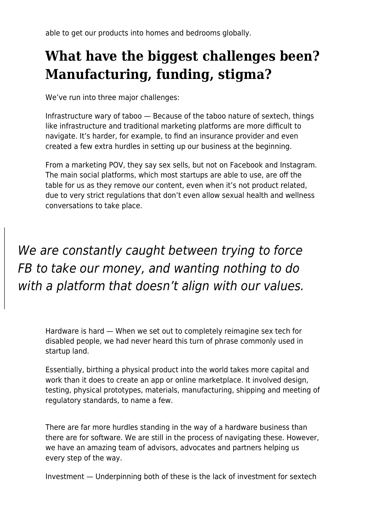able to get our products into homes and bedrooms globally.

### **What have the biggest challenges been? Manufacturing, funding, stigma?**

We've run into three major challenges:

Infrastructure wary of taboo — Because of the taboo nature of sextech, things like infrastructure and traditional marketing platforms are more difficult to navigate. It's harder, for example, to find an insurance provider and even created a few extra hurdles in setting up our business at the beginning.

From a marketing POV, they say sex sells, but not on Facebook and Instagram. The main social platforms, which most startups are able to use, are off the table for us as they remove our content, even when it's not product related, due to very strict regulations that don't even allow sexual health and wellness conversations to take place.

We are constantly caught between trying to force FB to take our money, and wanting nothing to do with a platform that doesn't align with our values.

Hardware is hard — When we set out to completely reimagine sex tech for disabled people, we had never heard this turn of phrase commonly used in startup land.

Essentially, birthing a physical product into the world takes more capital and work than it does to create an app or online marketplace. It involved design, testing, physical prototypes, materials, manufacturing, shipping and meeting of regulatory standards, to name a few.

There are far more hurdles standing in the way of a hardware business than there are for software. We are still in the process of navigating these. However, we have an amazing team of advisors, advocates and partners helping us every step of the way.

Investment — Underpinning both of these is the lack of investment for sextech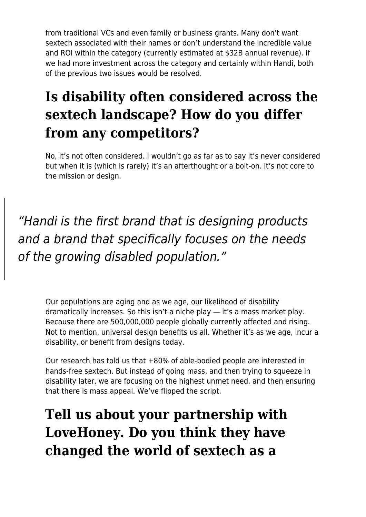from traditional VCs and even family or business grants. Many don't want sextech associated with their names or don't understand the incredible value and ROI within the category (currently estimated at \$32B annual revenue). If we had more investment across the category and certainly within Handi, both of the previous two issues would be resolved.

# **Is disability often considered across the sextech landscape? How do you differ from any competitors?**

No, it's not often considered. I wouldn't go as far as to say it's never considered but when it is (which is rarely) it's an afterthought or a bolt-on. It's not core to the mission or design.

"Handi is the first brand that is designing products and a brand that specifically focuses on the needs of the growing disabled population."

Our populations are aging and as we age, our likelihood of disability dramatically increases. So this isn't a niche play — it's a mass market play. Because there are 500,000,000 people globally currently affected and rising. Not to mention, universal design benefits us all. Whether it's as we age, incur a disability, or benefit from designs today.

Our research has told us that +80% of able-bodied people are interested in hands-free sextech. But instead of going mass, and then trying to squeeze in disability later, we are focusing on the highest unmet need, and then ensuring that there is mass appeal. We've flipped the script.

# **Tell us about your partnership with LoveHoney. Do you think they have changed the world of sextech as a**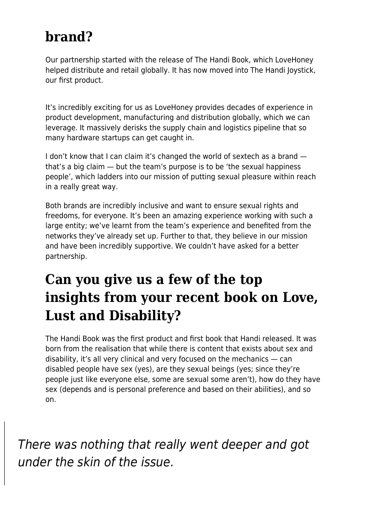#### **brand?**

Our partnership started with the release of The Handi Book, which LoveHoney helped distribute and retail globally. It has now moved into The Handi Joystick, our first product.

It's incredibly exciting for us as LoveHoney provides decades of experience in product development, manufacturing and distribution globally, which we can leverage. It massively derisks the supply chain and logistics pipeline that so many hardware startups can get caught in.

I don't know that I can claim it's changed the world of sextech as a brand that's a big claim — but the team's purpose is to be 'the sexual happiness people', which ladders into our mission of putting sexual pleasure within reach in a really great way.

Both brands are incredibly inclusive and want to ensure sexual rights and freedoms, for everyone. It's been an amazing experience working with such a large entity; we've learnt from the team's experience and benefited from the networks they've already set up. Further to that, they believe in our mission and have been incredibly supportive. We couldn't have asked for a better partnership.

### **Can you give us a few of the top insights from your recent book on Love, Lust and Disability?**

The Handi Book was the first product and first book that Handi released. It was born from the realisation that while there is content that exists about sex and disability, it's all very clinical and very focused on the mechanics — can disabled people have sex (yes), are they sexual beings (yes; since they're people just like everyone else, some are sexual some aren't), how do they have sex (depends and is personal preference and based on their abilities), and so on.

There was nothing that really went deeper and got under the skin of the issue.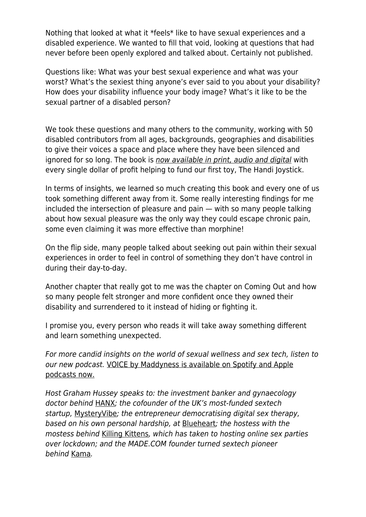Nothing that looked at what it \*feels\* like to have sexual experiences and a disabled experience. We wanted to fill that void, looking at questions that had never before been openly explored and talked about. Certainly not published.

Questions like: What was your best sexual experience and what was your worst? What's the sexiest thing anyone's ever said to you about your disability? How does your disability influence your body image? What's it like to be the sexual partner of a disabled person?

We took these questions and many others to the community, working with 50 disabled contributors from all ages, backgrounds, geographies and disabilities to give their voices a space and place where they have been silenced and ignored for so long. The book is [now available in print, audio and digital](https://thatshandi.co/collections/shop) with every single dollar of profit helping to fund our first toy, The Handi Joystick.

In terms of insights, we learned so much creating this book and every one of us took something different away from it. Some really interesting findings for me included the intersection of pleasure and pain — with so many people talking about how sexual pleasure was the only way they could escape chronic pain, some even claiming it was more effective than morphine!

On the flip side, many people talked about seeking out pain within their sexual experiences in order to feel in control of something they don't have control in during their day-to-day.

Another chapter that really got to me was the chapter on Coming Out and how so many people felt stronger and more confident once they owned their disability and surrendered to it instead of hiding or fighting it.

I promise you, every person who reads it will take away something different and learn something unexpected.

For more candid insights on the world of sexual wellness and sex tech, listen to our new podcast. [VOICE by Maddyness is available on Spotify and Apple](https://shado-mag.us4.list-manage.com/track/click?u=2d2957d3712c8bf4082177d28&id=c429e1854c&e=fcb1dfcdc1) [podcasts now.](https://shado-mag.us4.list-manage.com/track/click?u=2d2957d3712c8bf4082177d28&id=c429e1854c&e=fcb1dfcdc1)

Host Graham Hussey speaks to: the investment banker and gynaecology doctor behind [HANX](https://shado-mag.us4.list-manage.com/track/click?u=2d2957d3712c8bf4082177d28&id=9aefb4746e&e=fcb1dfcdc1); the cofounder of the UK's most-funded sextech startup, [MysteryVibe](https://shado-mag.us4.list-manage.com/track/click?u=2d2957d3712c8bf4082177d28&id=58b709ea6c&e=fcb1dfcdc1); the entrepreneur democratising digital sex therapy, based on his own personal hardship, at [Blueheart](https://shado-mag.us4.list-manage.com/track/click?u=2d2957d3712c8bf4082177d28&id=30f0cc91c4&e=fcb1dfcdc1); the hostess with the mostess behind [Killing Kittens](https://shado-mag.us4.list-manage.com/track/click?u=2d2957d3712c8bf4082177d28&id=edd45bf389&e=fcb1dfcdc1), which has taken to hosting online sex parties over lockdown; and the MADE.COM founder turned sextech pioneer behind [Kama](https://kama.co/).